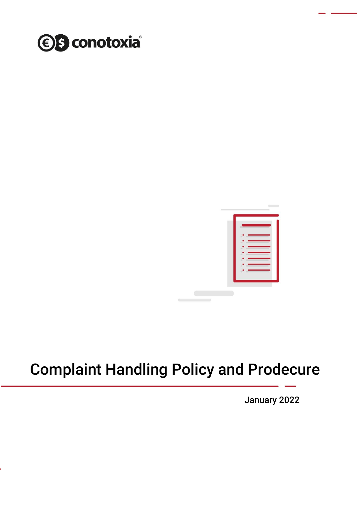



# Complaint Handling Policy and Prodecure

January 2022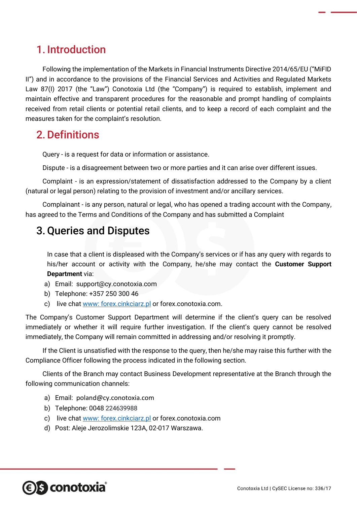## 1. Introduction

Following the implementation of the Markets in Financial Instruments Directive 2014/65/EU ("MiFID II") and in accordance to the provisions of the Financial Services and Activities and Regulated Markets Law 87(I) 2017 (the "Law") Conotoxia Ltd (the "Company") is required to establish, implement and maintain effective and transparent procedures for the reasonable and prompt handling of complaints received from retail clients or potential retail clients, and to keep a record of each complaint and the measures taken for the complaint's resolution.

## 2.Definitions

Query - is a request for data or information or assistance.

Dispute - is a disagreement between two or more parties and it can arise over different issues.

Complaint - is an expression/statement of dissatisfaction addressed to the Company by a client (natural or legal person) relating to the provision of investment and/or ancillary services.

Complainant - is any person, natural or legal, who has opened a trading account with the Company, has agreed to the Terms and Conditions of the Company and has submitted a Complaint

## 3.Queries and Disputes

In case that a client is displeased with the Company's services or if has any query with regards to his/her account or activity with the Company, he/she may contact the **Customer Support Department** via:

- a) Email: support@cy.conotoxia.com
- b) Telephone: +357 250 300 46
- c) live chat [www: forex.cinkciarz.pl](http://www.forex.cinkciarz.pl/) or forex.conotoxia.com.

The Company's Customer Support Department will determine if the client's query can be resolved immediately or whether it will require further investigation. If the client's query cannot be resolved immediately, the Company will remain committed in addressing and/or resolving it promptly.

If the Client is unsatisfied with the response to the query, then he/she may raise this further with the Compliance Officer following the process indicated in the following section.

Clients of the Branch may contact Business Development representative at the Branch through the following communication channels:

- a) Email: poland@cy.conotoxia.com
- b) Telephone: 0048 224639988
- c) live chat [www: forex.cinkciarz.pl](http://www.forex.cinkciarz.pl/) or forex.conotoxia.com
- d) Post: Aleje Jerozolimskie 123A, 02-017 Warszawa.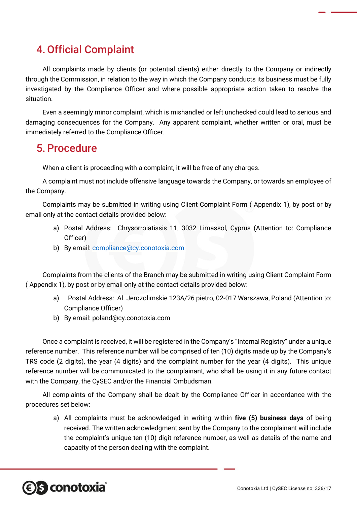## 4.Official Complaint

All complaints made by clients (or potential clients) either directly to the Company or indirectly through the Commission, in relation to the way in which the Company conducts its business must be fully investigated by the Compliance Officer and where possible appropriate action taken to resolve the situation.

Even a seemingly minor complaint, which is mishandled or left unchecked could lead to serious and damaging consequences for the Company. Any apparent complaint, whether written or oral, must be immediately referred to the Compliance Officer.

### 5.Procedure

When a client is proceeding with a complaint, it will be free of any charges.

A complaint must not include offensive language towards the Company, or towards an employee of the Company.

Complaints may be submitted in writing using Client Complaint Form ( Appendix 1), by post or by email only at the contact details provided below:

- a) Postal Address: Chrysorroiatissis 11, 3032 Limassol, Cyprus (Attention to: Compliance Officer)
- b) By email: [compliance@cy.conotoxia.com](mailto:compliance@cy.conotoxia.com)

Complaints from the clients of the Branch may be submitted in writing using Client Complaint Form ( Appendix 1), by post or by email only at the contact details provided below:

- a) Postal Address: Al. Jerozolimskie 123A/26 pietro, 02-017 Warszawa, Poland (Attention to: Compliance Officer)
- b) By email: poland@cy.conotoxia.com

Once a complaint is received, it will be registered in the Company's "Internal Registry" under a unique reference number. This reference number will be comprised of ten (10) digits made up by the Company's TRS code (2 digits), the year (4 digits) and the complaint number for the year (4 digits). This unique reference number will be communicated to the complainant, who shall be using it in any future contact with the Company, the CySEC and/or the Financial Ombudsman.

All complaints of the Company shall be dealt by the Compliance Officer in accordance with the procedures set below:

a) All complaints must be acknowledged in writing within **five (5) business days** of being received. The written acknowledgment sent by the Company to the complainant will include the complaint's unique ten (10) digit reference number, as well as details of the name and capacity of the person dealing with the complaint.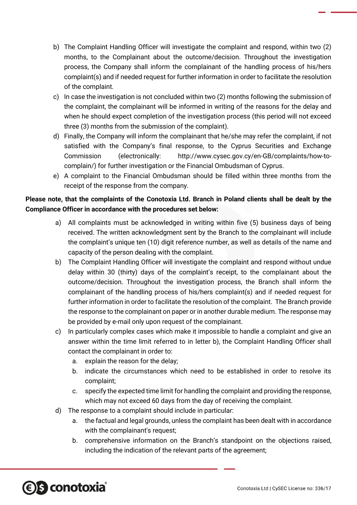- b) The Complaint Handling Officer will investigate the complaint and respond, within two (2) months, to the Complainant about the outcome/decision. Throughout the investigation process, the Company shall inform the complainant of the handling process of his/hers complaint(s) and if needed request for further information in order to facilitate the resolution of the complaint.
- c) In case the investigation is not concluded within two (2) months following the submission of the complaint, the complainant will be informed in writing of the reasons for the delay and when he should expect completion of the investigation process (this period will not exceed three (3) months from the submission of the complaint).
- d) Finally, the Company will inform the complainant that he/she may refer the complaint, if not satisfied with the Company's final response, to the Cyprus Securities and Exchange Commission (electronically: http://www.cysec.gov.cy/en-GB/complaints/how-tocomplain/) for further investigation or the Financial Ombudsman of Cyprus.
- e) A complaint to the Financial Ombudsman should be filled within three months from the receipt of the response from the company.

### **Please note, that the complaints of the Conotoxia Ltd. Branch in Poland clients shall be dealt by the Compliance Officer in accordance with the procedures set below:**

- a) All complaints must be acknowledged in writing within five (5) business days of being received. The written acknowledgment sent by the Branch to the complainant will include the complaint's unique ten (10) digit reference number, as well as details of the name and capacity of the person dealing with the complaint.
- b) The Complaint Handling Officer will investigate the complaint and respond without undue delay within 30 (thirty) days of the complaint's receipt, to the complainant about the outcome/decision. Throughout the investigation process, the Branch shall inform the complainant of the handling process of his/hers complaint(s) and if needed request for further information in order to facilitate the resolution of the complaint. The Branch provide the response to the complainant on paper or in another durable medium. The response may be provided by e-mail only upon request of the complainant.
- c) In particularly complex cases which make it impossible to handle a complaint and give an answer within the time limit referred to in letter b), the Complaint Handling Officer shall contact the complainant in order to:
	- a. explain the reason for the delay;
	- b. indicate the circumstances which need to be established in order to resolve its complaint;
	- c. specify the expected time limit for handling the complaint and providing the response, which may not exceed 60 days from the day of receiving the complaint.
- d) The response to a complaint should include in particular:
	- a. the factual and legal grounds, unless the complaint has been dealt with in accordance with the complainant's request;
	- b. comprehensive information on the Branch's standpoint on the objections raised, including the indication of the relevant parts of the agreement;

## *<b>€S* conotoxia®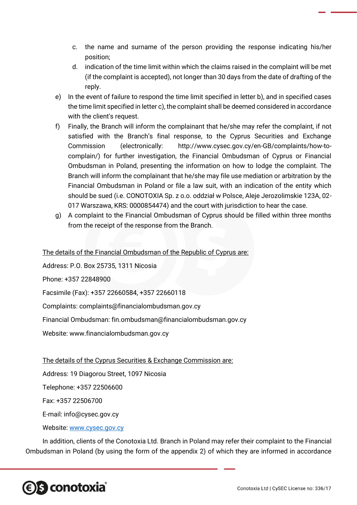- c. the name and surname of the person providing the response indicating his/her position;
- d. indication of the time limit within which the claims raised in the complaint will be met (if the complaint is accepted), not longer than 30 days from the date of drafting of the reply.
- e) In the event of failure to respond the time limit specified in letter b), and in specified cases the time limit specified in letter c), the complaint shall be deemed considered in accordance with the client's request.
- f) Finally, the Branch will inform the complainant that he/she may refer the complaint, if not satisfied with the Branch's final response, to the Cyprus Securities and Exchange Commission (electronically: http://www.cysec.gov.cy/en-GB/complaints/how-tocomplain/) for further investigation, the Financial Ombudsman of Cyprus or Financial Ombudsman in Poland, presenting the information on how to lodge the complaint. The Branch will inform the complainant that he/she may file use mediation or arbitration by the Financial Ombudsman in Poland or file a law suit, with an indication of the entity which should be sued (i.e. CONOTOXIA Sp. z o.o. oddział w Polsce, Aleje Jerozolimskie 123A, 02- 017 Warszawa, KRS: 0000854474) and the court with jurisdiction to hear the case.
- g) A complaint to the Financial Ombudsman of Cyprus should be filled within three months from the receipt of the response from the Branch.

The details of the Financial Ombudsman of the Republic of Cyprus are:

Address: P.O. Box 25735, 1311 Nicosia

Phone: +357 22848900

Facsimile (Fax): +357 22660584, +357 22660118

Complaints: complaints@financialombudsman.gov.cy

Financial Ombudsman: fin.ombudsman@financialombudsman.gov.cy

Website: www.financialombudsman.gov.cy

The details of the Cyprus Securities & Exchange Commission are:

Address: 19 Diagorou Street, 1097 Nicosia

Telephone: +357 22506600

Fax: +357 22506700

E-mail: info@cysec.gov.cy

Website: [www.cysec.gov.cy](http://www.cysec.gov.cy/)

In addition, clients of the Conotoxia Ltd. Branch in Poland may refer their complaint to the Financial Ombudsman in Poland (by using the form of the appendix 2) of which they are informed in accordance

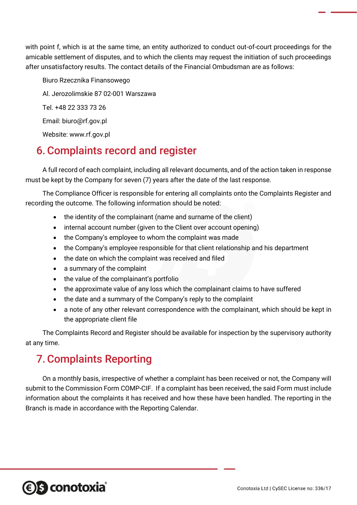with point f, which is at the same time, an entity authorized to conduct out-of-court proceedings for the amicable settlement of disputes, and to which the clients may request the initiation of such proceedings after unsatisfactory results. The contact details of the Financial Ombudsman are as follows:

Biuro Rzecznika Finansowego Al. Jerozolimskie 87 02-001 Warszawa Tel. +48 22 333 73 26 Email: biuro@rf.gov.pl Website: www.rf.gov.pl

## 6.Complaints record and register

A full record of each complaint, including all relevant documents, and of the action taken in response must be kept by the Company for seven (7) years after the date of the last response.

The Compliance Officer is responsible for entering all complaints onto the Complaints Register and recording the outcome. The following information should be noted:

- the identity of the complainant (name and surname of the client)
- internal account number (given to the Client over account opening)
- the Company's employee to whom the complaint was made
- the Company's employee responsible for that client relationship and his department
- the date on which the complaint was received and filed
- a summary of the complaint
- the value of the complainant's portfolio
- the approximate value of any loss which the complainant claims to have suffered
- the date and a summary of the Company's reply to the complaint
- a note of any other relevant correspondence with the complainant, which should be kept in the appropriate client file

The Complaints Record and Register should be available for inspection by the supervisory authority at any time.

## 7.Complaints Reporting

On a monthly basis, irrespective of whether a complaint has been received or not, the Company will submit to the Commission Form COMP-CIF. If a complaint has been received, the said Form must include information about the complaints it has received and how these have been handled. The reporting in the Branch is made in accordance with the Reporting Calendar.

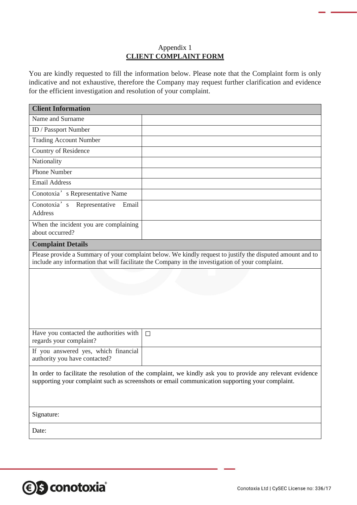#### Appendix 1 **CLIENT COMPLAINT FORM**

You are kindly requested to fill the information below. Please note that the Complaint form is only indicative and not exhaustive, therefore the Company may request further clarification and evidence for the efficient investigation and resolution of your complaint.

| <b>Client Information</b>                                                                                                                                                                                     |        |  |  |  |  |
|---------------------------------------------------------------------------------------------------------------------------------------------------------------------------------------------------------------|--------|--|--|--|--|
| Name and Surname                                                                                                                                                                                              |        |  |  |  |  |
| ID / Passport Number                                                                                                                                                                                          |        |  |  |  |  |
| <b>Trading Account Number</b>                                                                                                                                                                                 |        |  |  |  |  |
| Country of Residence                                                                                                                                                                                          |        |  |  |  |  |
| Nationality                                                                                                                                                                                                   |        |  |  |  |  |
| <b>Phone Number</b>                                                                                                                                                                                           |        |  |  |  |  |
| <b>Email Address</b>                                                                                                                                                                                          |        |  |  |  |  |
| Conotoxia's Representative Name                                                                                                                                                                               |        |  |  |  |  |
| Conotoxia's<br>Representative<br>Email<br><b>Address</b>                                                                                                                                                      |        |  |  |  |  |
| When the incident you are complaining<br>about occurred?                                                                                                                                                      |        |  |  |  |  |
| <b>Complaint Details</b>                                                                                                                                                                                      |        |  |  |  |  |
| Please provide a Summary of your complaint below. We kindly request to justify the disputed amount and to<br>include any information that will facilitate the Company in the investigation of your complaint. |        |  |  |  |  |
|                                                                                                                                                                                                               |        |  |  |  |  |
| Have you contacted the authorities with<br>regards your complaint?                                                                                                                                            | $\Box$ |  |  |  |  |
| If you answered yes, which financial<br>authority you have contacted?                                                                                                                                         |        |  |  |  |  |
| In order to facilitate the resolution of the complaint, we kindly ask you to provide any relevant evidence<br>supporting your complaint such as screenshots or email communication supporting your complaint. |        |  |  |  |  |
| Signature:                                                                                                                                                                                                    |        |  |  |  |  |
| Date:                                                                                                                                                                                                         |        |  |  |  |  |

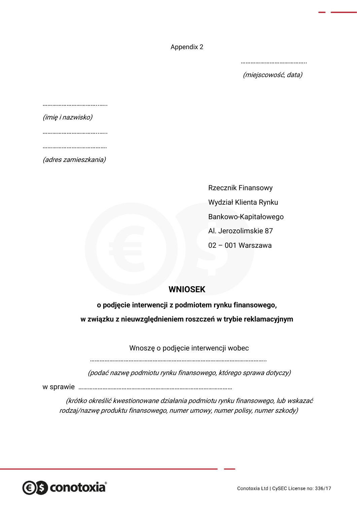Appendix 2

…………………………………..

(miejscowość, data)

| (imię i nazwisko) |  |  |  |  |  |
|-------------------|--|--|--|--|--|

……………………………..…..

………………………………

(adres zamieszkania)

Rzecznik Finansowy Wydział Klienta Rynku Bankowo-Kapitałowego Al. Jerozolimskie 87 02 – 001 Warszawa

### **WNIOSEK**

**o podjęcie interwencji z podmiotem rynku finansowego, w związku z nieuwzględnieniem roszczeń w trybie reklamacyjnym**

Wnoszę o podjęcie interwencji wobec

………………………………………………………………………………………………..

(podać nazwę podmiotu rynku finansowego, którego sprawa dotyczy)

w sprawie ……………………………………………………………………………………

(krótko określić kwestionowane działania podmiotu rynku finansowego, lub wskazać rodzaj/nazwę produktu finansowego, numer umowy, numer polisy, numer szkody)